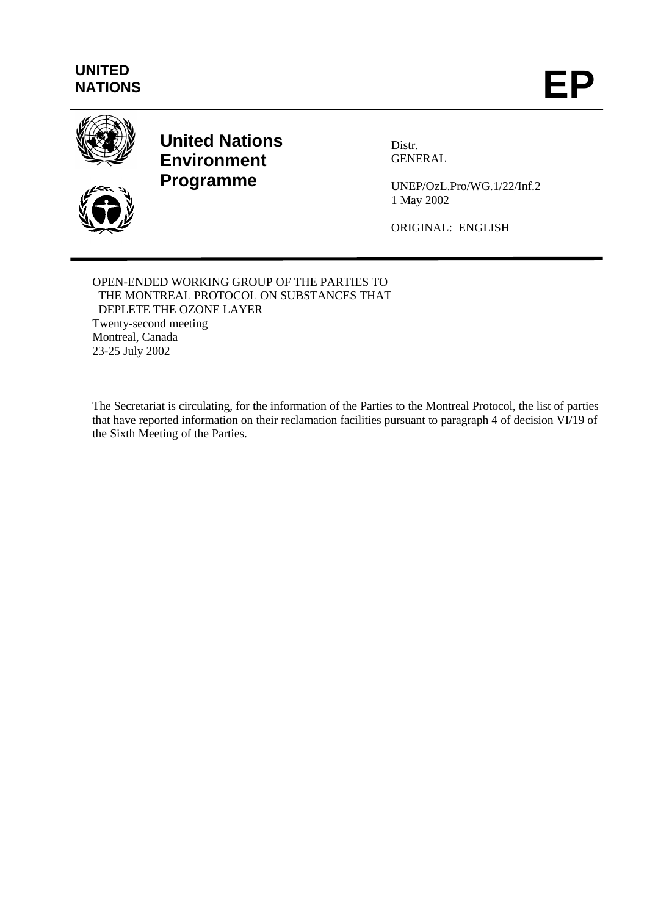# **UNITED**





**United Nations Environment Programme**

Distr. GENERAL

UNEP/OzL.Pro/WG.1/22/Inf.2 1 May 2002

ORIGINAL: ENGLISH

OPEN-ENDED WORKING GROUP OF THE PARTIES TO THE MONTREAL PROTOCOL ON SUBSTANCES THAT DEPLETE THE OZONE LAYER Twenty-second meeting Montreal, Canada 23-25 July 2002

The Secretariat is circulating, for the information of the Parties to the Montreal Protocol, the list of parties that have reported information on their reclamation facilities pursuant to paragraph 4 of decision VI/19 of the Sixth Meeting of the Parties.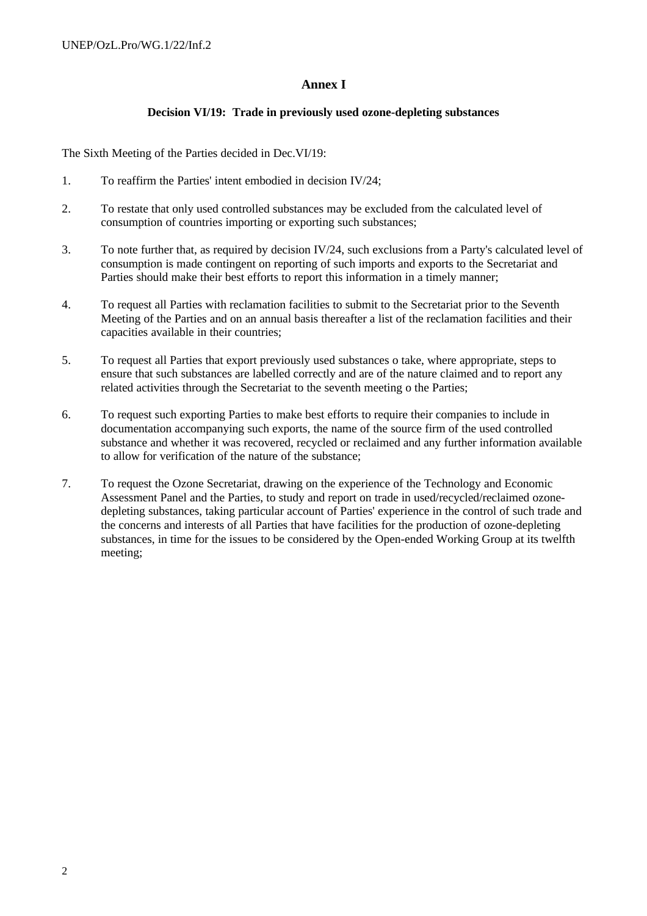#### **Annex I**

#### **Decision VI/19: Trade in previously used ozone-depleting substances**

The Sixth Meeting of the Parties decided in Dec.VI/19:

- 1. To reaffirm the Parties' intent embodied in decision IV/24;
- 2. To restate that only used controlled substances may be excluded from the calculated level of consumption of countries importing or exporting such substances;
- 3. To note further that, as required by decision IV/24, such exclusions from a Party's calculated level of consumption is made contingent on reporting of such imports and exports to the Secretariat and Parties should make their best efforts to report this information in a timely manner;
- 4. To request all Parties with reclamation facilities to submit to the Secretariat prior to the Seventh Meeting of the Parties and on an annual basis thereafter a list of the reclamation facilities and their capacities available in their countries;
- 5. To request all Parties that export previously used substances o take, where appropriate, steps to ensure that such substances are labelled correctly and are of the nature claimed and to report any related activities through the Secretariat to the seventh meeting o the Parties;
- 6. To request such exporting Parties to make best efforts to require their companies to include in documentation accompanying such exports, the name of the source firm of the used controlled substance and whether it was recovered, recycled or reclaimed and any further information available to allow for verification of the nature of the substance;
- 7. To request the Ozone Secretariat, drawing on the experience of the Technology and Economic Assessment Panel and the Parties, to study and report on trade in used/recycled/reclaimed ozonedepleting substances, taking particular account of Parties' experience in the control of such trade and the concerns and interests of all Parties that have facilities for the production of ozone-depleting substances, in time for the issues to be considered by the Open-ended Working Group at its twelfth meeting;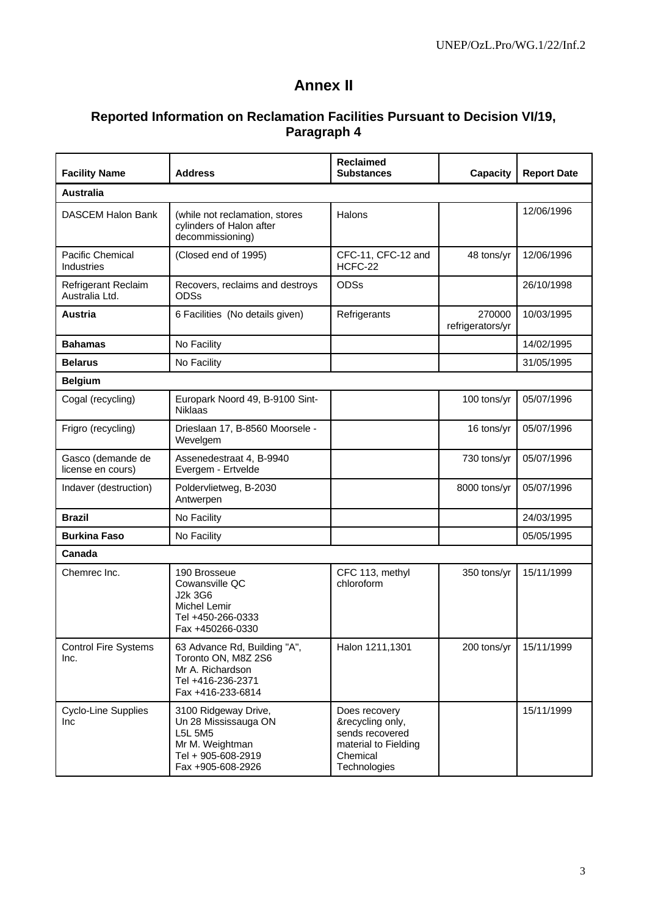## **Annex II**

### **Reported Information on Reclamation Facilities Pursuant to Decision VI/19, Paragraph 4**

| <b>Facility Name</b>                         | <b>Address</b>                                                                                                        | <b>Reclaimed</b><br><b>Substances</b>                                                                    | Capacity                   | <b>Report Date</b> |
|----------------------------------------------|-----------------------------------------------------------------------------------------------------------------------|----------------------------------------------------------------------------------------------------------|----------------------------|--------------------|
| <b>Australia</b>                             |                                                                                                                       |                                                                                                          |                            |                    |
| <b>DASCEM Halon Bank</b>                     | (while not reclamation, stores<br>cylinders of Halon after<br>decommissioning)                                        | Halons                                                                                                   |                            | 12/06/1996         |
| Pacific Chemical<br>Industries               | (Closed end of 1995)                                                                                                  | CFC-11, CFC-12 and<br>HCFC-22                                                                            | 48 tons/yr                 | 12/06/1996         |
| <b>Refrigerant Reclaim</b><br>Australia Ltd. | Recovers, reclaims and destroys<br><b>ODSs</b>                                                                        | <b>ODSs</b>                                                                                              |                            | 26/10/1998         |
| Austria                                      | 6 Facilities (No details given)                                                                                       | Refrigerants                                                                                             | 270000<br>refrigerators/yr | 10/03/1995         |
| <b>Bahamas</b>                               | No Facility                                                                                                           |                                                                                                          |                            | 14/02/1995         |
| <b>Belarus</b>                               | No Facility                                                                                                           |                                                                                                          |                            | 31/05/1995         |
| <b>Belgium</b>                               |                                                                                                                       |                                                                                                          |                            |                    |
| Cogal (recycling)                            | Europark Noord 49, B-9100 Sint-<br><b>Niklaas</b>                                                                     |                                                                                                          | 100 tons/yr                | 05/07/1996         |
| Frigro (recycling)                           | Drieslaan 17, B-8560 Moorsele -<br>Wevelgem                                                                           |                                                                                                          | 16 tons/yr                 | 05/07/1996         |
| Gasco (demande de<br>license en cours)       | Assenedestraat 4, B-9940<br>Evergem - Ertvelde                                                                        |                                                                                                          | 730 tons/yr                | 05/07/1996         |
| Indaver (destruction)                        | Poldervlietweg, B-2030<br>Antwerpen                                                                                   |                                                                                                          | 8000 tons/yr               | 05/07/1996         |
| <b>Brazil</b>                                | No Facility                                                                                                           |                                                                                                          |                            | 24/03/1995         |
| <b>Burkina Faso</b>                          | No Facility                                                                                                           |                                                                                                          |                            | 05/05/1995         |
| Canada                                       |                                                                                                                       |                                                                                                          |                            |                    |
| Chemrec Inc.                                 | 190 Brosseue<br>Cowansville QC<br>J2k 3G6<br>Michel Lemir<br>Tel +450-266-0333<br>Fax +450266-0330                    | CFC 113, methyl<br>chloroform                                                                            | 350 tons/yr                | 15/11/1999         |
| <b>Control Fire Systems</b><br>Inc.          | 63 Advance Rd, Building "A",<br>Toronto ON, M8Z 2S6<br>Mr A. Richardson<br>Tel +416-236-2371<br>Fax +416-233-6814     | Halon 1211,1301                                                                                          | 200 tons/yr                | 15/11/1999         |
| Cyclo-Line Supplies<br><b>Inc</b>            | 3100 Ridgeway Drive,<br>Un 28 Mississauga ON<br>L5L 5M5<br>Mr M. Weightman<br>Tel + 905-608-2919<br>Fax +905-608-2926 | Does recovery<br>&recycling only,<br>sends recovered<br>material to Fielding<br>Chemical<br>Technologies |                            | 15/11/1999         |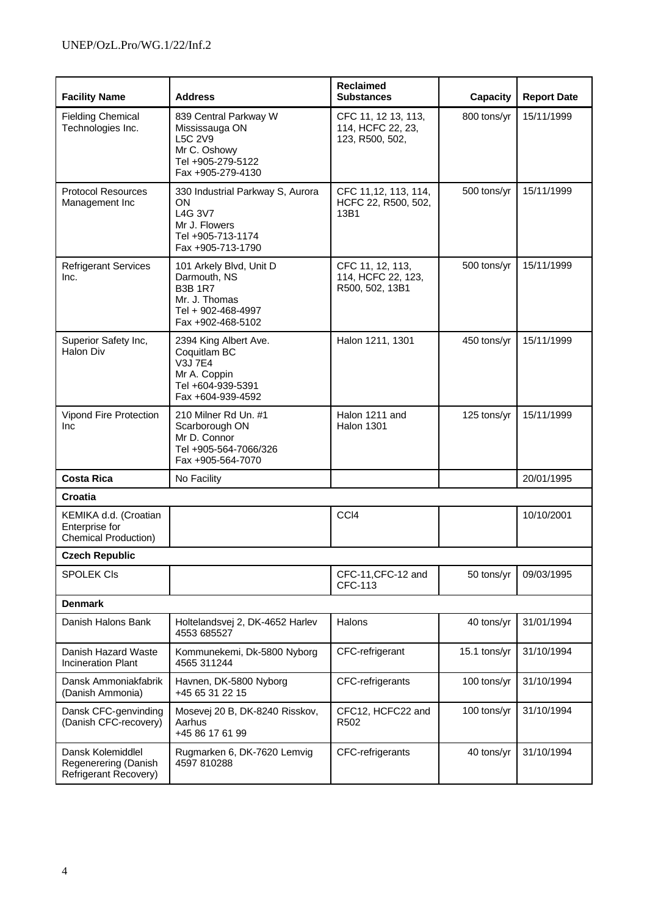| <b>Facility Name</b>                                                   | <b>Address</b>                                                                                                        | <b>Reclaimed</b><br><b>Substances</b>                       | <b>Capacity</b> | <b>Report Date</b> |
|------------------------------------------------------------------------|-----------------------------------------------------------------------------------------------------------------------|-------------------------------------------------------------|-----------------|--------------------|
| <b>Fielding Chemical</b><br>Technologies Inc.                          | 839 Central Parkway W<br>Mississauga ON<br>L5C 2V9<br>Mr C. Oshowy<br>Tel +905-279-5122<br>Fax +905-279-4130          | CFC 11, 12 13, 113,<br>114, HCFC 22, 23,<br>123, R500, 502, | 800 tons/yr     | 15/11/1999         |
| <b>Protocol Resources</b><br>Management Inc                            | 330 Industrial Parkway S, Aurora<br>ON<br>L4G 3V7<br>Mr J. Flowers<br>Tel +905-713-1174<br>Fax +905-713-1790          | CFC 11,12, 113, 114,<br>HCFC 22, R500, 502,<br>13B1         | 500 tons/yr     | 15/11/1999         |
| <b>Refrigerant Services</b><br>Inc.                                    | 101 Arkely Blvd, Unit D<br>Darmouth, NS<br><b>B3B 1R7</b><br>Mr. J. Thomas<br>Tel + 902-468-4997<br>Fax +902-468-5102 | CFC 11, 12, 113,<br>114, HCFC 22, 123,<br>R500, 502, 13B1   | 500 tons/yr     | 15/11/1999         |
| Superior Safety Inc,<br><b>Halon Div</b>                               | 2394 King Albert Ave.<br>Coquitlam BC<br><b>V3J 7E4</b><br>Mr A. Coppin<br>Tel +604-939-5391<br>Fax +604-939-4592     | Halon 1211, 1301                                            | 450 tons/yr     | 15/11/1999         |
| Vipond Fire Protection<br>Inc                                          | 210 Milner Rd Un. #1<br>Scarborough ON<br>Mr D. Connor<br>Tel +905-564-7066/326<br>Fax +905-564-7070                  | Halon 1211 and<br><b>Halon 1301</b>                         | 125 tons/yr     | 15/11/1999         |
| <b>Costa Rica</b>                                                      | No Facility                                                                                                           |                                                             |                 | 20/01/1995         |
| Croatia                                                                |                                                                                                                       |                                                             |                 |                    |
| KEMIKA d.d. (Croatian<br>Enterprise for<br><b>Chemical Production)</b> |                                                                                                                       | CCI4                                                        |                 | 10/10/2001         |
| <b>Czech Republic</b>                                                  |                                                                                                                       |                                                             |                 |                    |
| <b>SPOLEK CIS</b>                                                      |                                                                                                                       | CFC-11, CFC-12 and<br>CFC-113                               | 50 tons/yr      | 09/03/1995         |
| <b>Denmark</b>                                                         |                                                                                                                       |                                                             |                 |                    |
| Danish Halons Bank                                                     | Holtelandsvej 2, DK-4652 Harlev<br>4553 685527                                                                        | Halons                                                      | 40 tons/yr      | 31/01/1994         |
| Danish Hazard Waste<br><b>Incineration Plant</b>                       | Kommunekemi, Dk-5800 Nyborg<br>4565 311244                                                                            | CFC-refrigerant                                             | 15.1 tons/yr    | 31/10/1994         |
| Dansk Ammoniakfabrik<br>(Danish Ammonia)                               | Havnen, DK-5800 Nyborg<br>+45 65 31 22 15                                                                             | CFC-refrigerants                                            | 100 tons/yr     | 31/10/1994         |
| Dansk CFC-genvinding<br>(Danish CFC-recovery)                          | Mosevej 20 B, DK-8240 Risskov,<br>Aarhus<br>+45 86 17 61 99                                                           | CFC12, HCFC22 and<br>R <sub>502</sub>                       | 100 tons/yr     | 31/10/1994         |
| Dansk Kolemiddlel<br>Regenerering (Danish<br>Refrigerant Recovery)     | Rugmarken 6, DK-7620 Lemvig<br>4597 810288                                                                            | CFC-refrigerants                                            | 40 tons/yr      | 31/10/1994         |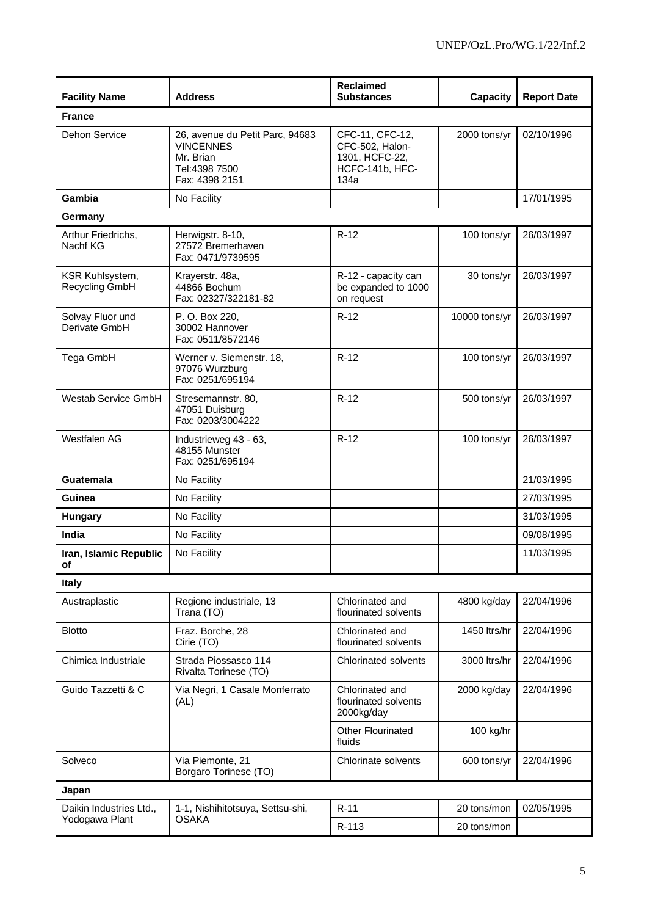| <b>Facility Name</b>              | <b>Address</b>                                                                                      | <b>Reclaimed</b><br><b>Substances</b>                                           | <b>Capacity</b> | <b>Report Date</b> |
|-----------------------------------|-----------------------------------------------------------------------------------------------------|---------------------------------------------------------------------------------|-----------------|--------------------|
| <b>France</b>                     |                                                                                                     |                                                                                 |                 |                    |
| <b>Dehon Service</b>              | 26, avenue du Petit Parc, 94683<br><b>VINCENNES</b><br>Mr. Brian<br>Tel:4398 7500<br>Fax: 4398 2151 | CFC-11, CFC-12,<br>CFC-502, Halon-<br>1301, HCFC-22,<br>HCFC-141b, HFC-<br>134a | 2000 tons/yr    | 02/10/1996         |
| Gambia                            | No Facility                                                                                         |                                                                                 |                 | 17/01/1995         |
| Germany                           |                                                                                                     |                                                                                 |                 |                    |
| Arthur Friedrichs,<br>Nachf KG    | Herwigstr. 8-10,<br>27572 Bremerhaven<br>Fax: 0471/9739595                                          | $R-12$                                                                          | 100 tons/yr     | 26/03/1997         |
| KSR Kuhlsystem,<br>Recycling GmbH | Krayerstr. 48a,<br>44866 Bochum<br>Fax: 02327/322181-82                                             | R-12 - capacity can<br>be expanded to 1000<br>on request                        | 30 tons/yr      | 26/03/1997         |
| Solvay Fluor und<br>Derivate GmbH | P. O. Box 220,<br>30002 Hannover<br>Fax: 0511/8572146                                               | $R-12$                                                                          | 10000 tons/yr   | 26/03/1997         |
| Tega GmbH                         | Werner v. Siemenstr. 18,<br>97076 Wurzburg<br>Fax: 0251/695194                                      | $R-12$                                                                          | 100 tons/yr     | 26/03/1997         |
| <b>Westab Service GmbH</b>        | Stresemannstr. 80,<br>47051 Duisburg<br>Fax: 0203/3004222                                           | $R-12$                                                                          | 500 tons/yr     | 26/03/1997         |
| Westfalen AG                      | Industrieweg 43 - 63,<br>48155 Munster<br>Fax: 0251/695194                                          | $R-12$                                                                          | 100 tons/yr     | 26/03/1997         |
| <b>Guatemala</b>                  | No Facility                                                                                         |                                                                                 |                 | 21/03/1995         |
| Guinea                            | No Facility                                                                                         |                                                                                 |                 | 27/03/1995         |
| <b>Hungary</b>                    | No Facility                                                                                         |                                                                                 |                 | 31/03/1995         |
| India                             | No Facility                                                                                         |                                                                                 |                 | 09/08/1995         |
| Iran, Islamic Republic<br>OТ      | No Facility                                                                                         |                                                                                 |                 | 11/03/1995         |
| <b>Italy</b>                      |                                                                                                     |                                                                                 |                 |                    |
| Austraplastic                     | Regione industriale, 13<br>Trana (TO)                                                               | Chlorinated and<br>flourinated solvents                                         | 4800 kg/day     | 22/04/1996         |
| <b>Blotto</b>                     | Fraz. Borche, 28<br>Cirie (TO)                                                                      | Chlorinated and<br>flourinated solvents                                         | 1450 ltrs/hr    | 22/04/1996         |
| Chimica Industriale               | Strada Piossasco 114<br>Rivalta Torinese (TO)                                                       | Chlorinated solvents                                                            | 3000 ltrs/hr    | 22/04/1996         |
| Guido Tazzetti & C                | Via Negri, 1 Casale Monferrato<br>(AL)                                                              | Chlorinated and<br>flourinated solvents<br>2000kg/day                           | 2000 kg/day     | 22/04/1996         |
|                                   |                                                                                                     | <b>Other Flourinated</b><br>fluids                                              | 100 kg/hr       |                    |
| Solveco                           | Via Piemonte, 21<br>Borgaro Torinese (TO)                                                           | Chlorinate solvents                                                             | 600 tons/yr     | 22/04/1996         |
| Japan                             |                                                                                                     |                                                                                 |                 |                    |
| Daikin Industries Ltd.,           | 1-1, Nishihitotsuya, Settsu-shi,                                                                    | $R-11$                                                                          | 20 tons/mon     | 02/05/1995         |
| Yodogawa Plant                    | <b>OSAKA</b>                                                                                        | R-113                                                                           | 20 tons/mon     |                    |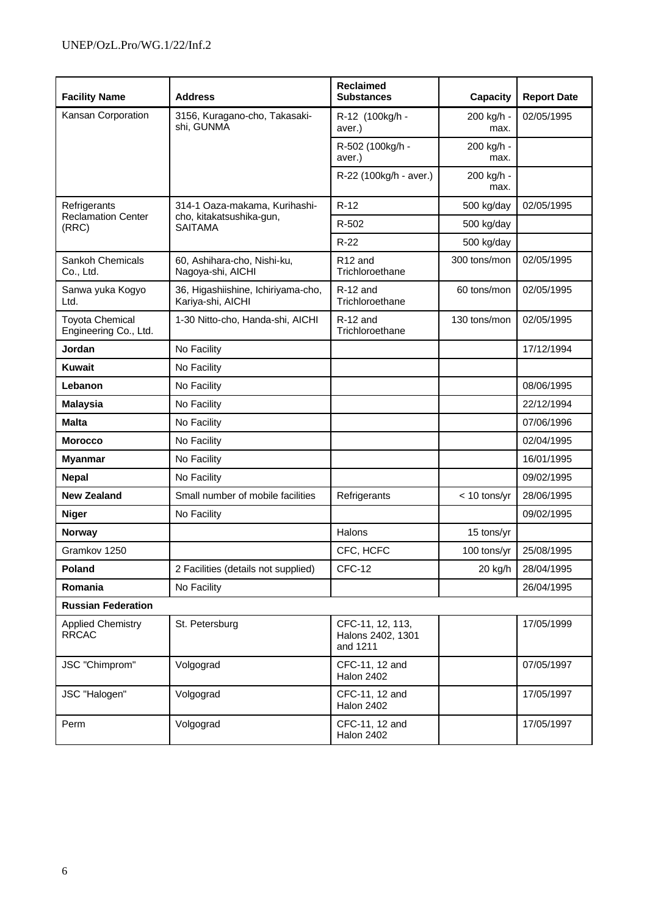| <b>Facility Name</b>                            | <b>Address</b>                                          | <b>Reclaimed</b><br><b>Substances</b>             | <b>Capacity</b>    | <b>Report Date</b> |
|-------------------------------------------------|---------------------------------------------------------|---------------------------------------------------|--------------------|--------------------|
| Kansan Corporation                              | 3156, Kuragano-cho, Takasaki-<br>shi, GUNMA             | R-12 (100kg/h -<br>aver.)                         | 200 kg/h -<br>max. | 02/05/1995         |
|                                                 |                                                         | R-502 (100kg/h -<br>aver.)                        | 200 kg/h -<br>max. |                    |
|                                                 |                                                         | R-22 (100kg/h - aver.)                            | 200 kg/h -<br>max. |                    |
| Refrigerants                                    | 314-1 Oaza-makama, Kurihashi-                           | $R-12$                                            | 500 kg/day         | 02/05/1995         |
| <b>Reclamation Center</b><br>(RRC)              | cho, kitakatsushika-gun,<br><b>SAITAMA</b>              | R-502                                             | 500 kg/day         |                    |
|                                                 |                                                         | $R-22$                                            | 500 kg/day         |                    |
| Sankoh Chemicals<br>Co., Ltd.                   | 60, Ashihara-cho, Nishi-ku,<br>Nagoya-shi, AICHI        | R <sub>12</sub> and<br>Trichloroethane            | 300 tons/mon       | 02/05/1995         |
| Sanwa yuka Kogyo<br>Ltd.                        | 36, Higashiishine, Ichiriyama-cho,<br>Kariya-shi, AICHI | $R-12$ and<br>Trichloroethane                     | 60 tons/mon        | 02/05/1995         |
| <b>Toyota Chemical</b><br>Engineering Co., Ltd. | 1-30 Nitto-cho, Handa-shi, AICHI                        | $R-12$ and<br>Trichloroethane                     | 130 tons/mon       | 02/05/1995         |
| Jordan                                          | No Facility                                             |                                                   |                    | 17/12/1994         |
| Kuwait                                          | No Facility                                             |                                                   |                    |                    |
| Lebanon                                         | No Facility                                             |                                                   |                    | 08/06/1995         |
| <b>Malaysia</b>                                 | No Facility                                             |                                                   |                    | 22/12/1994         |
| <b>Malta</b>                                    | No Facility                                             |                                                   |                    | 07/06/1996         |
| <b>Morocco</b>                                  | No Facility                                             |                                                   |                    | 02/04/1995         |
| <b>Myanmar</b>                                  | No Facility                                             |                                                   |                    | 16/01/1995         |
| <b>Nepal</b>                                    | No Facility                                             |                                                   |                    | 09/02/1995         |
| <b>New Zealand</b>                              | Small number of mobile facilities                       | Refrigerants                                      | $< 10$ tons/yr     | 28/06/1995         |
| <b>Niger</b>                                    | No Facility                                             |                                                   |                    | 09/02/1995         |
| <b>Norway</b>                                   |                                                         | Halons                                            | 15 tons/yr         |                    |
| Gramkov 1250                                    |                                                         | CFC, HCFC                                         | 100 tons/yr        | 25/08/1995         |
| Poland                                          | 2 Facilities (details not supplied)                     | <b>CFC-12</b>                                     | 20 kg/h            | 28/04/1995         |
| Romania                                         | No Facility                                             |                                                   |                    | 26/04/1995         |
| <b>Russian Federation</b>                       |                                                         |                                                   |                    |                    |
| <b>Applied Chemistry</b><br><b>RRCAC</b>        | St. Petersburg                                          | CFC-11, 12, 113,<br>Halons 2402, 1301<br>and 1211 |                    | 17/05/1999         |
| JSC "Chimprom"                                  | Volgograd                                               | CFC-11, 12 and<br><b>Halon 2402</b>               |                    | 07/05/1997         |
| JSC "Halogen"                                   | Volgograd                                               | CFC-11, 12 and<br><b>Halon 2402</b>               |                    | 17/05/1997         |
| Perm                                            | Volgograd                                               | CFC-11, 12 and<br><b>Halon 2402</b>               |                    | 17/05/1997         |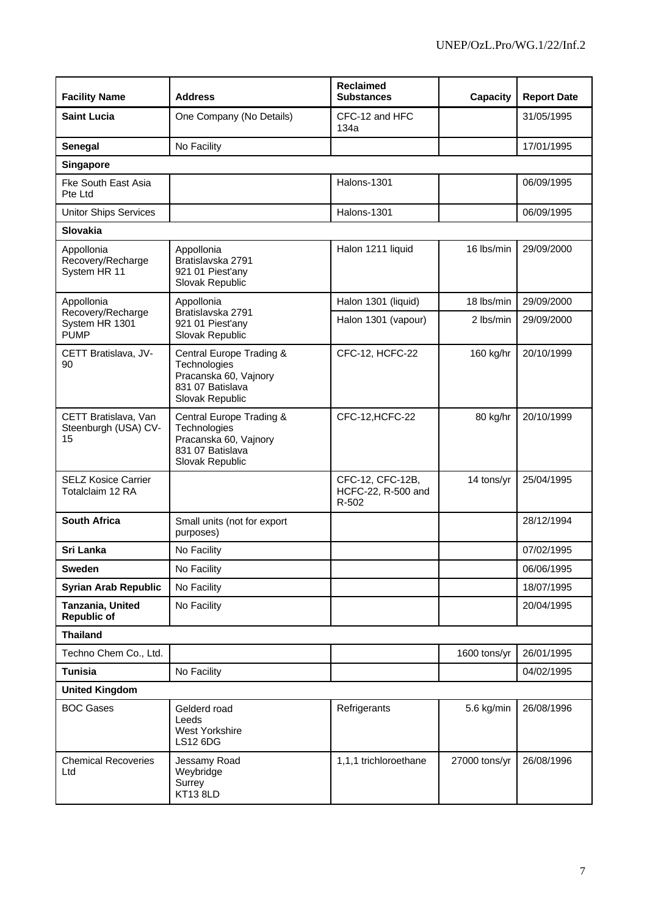| <b>Facility Name</b>                               | <b>Address</b>                                                                                           | <b>Reclaimed</b><br><b>Substances</b>           | Capacity      | <b>Report Date</b> |
|----------------------------------------------------|----------------------------------------------------------------------------------------------------------|-------------------------------------------------|---------------|--------------------|
| <b>Saint Lucia</b>                                 | One Company (No Details)                                                                                 | CFC-12 and HFC<br>134a                          |               | 31/05/1995         |
| Senegal                                            | No Facility                                                                                              |                                                 |               | 17/01/1995         |
| Singapore                                          |                                                                                                          |                                                 |               |                    |
| <b>Fke South East Asia</b><br>Pte Ltd              |                                                                                                          | Halons-1301                                     |               | 06/09/1995         |
| <b>Unitor Ships Services</b>                       |                                                                                                          | Halons-1301                                     |               | 06/09/1995         |
| Slovakia                                           |                                                                                                          |                                                 |               |                    |
| Appollonia<br>Recovery/Recharge<br>System HR 11    | Appollonia<br>Bratislavska 2791<br>921 01 Piest'any<br>Slovak Republic                                   | Halon 1211 liquid                               | 16 lbs/min    | 29/09/2000         |
| Appollonia                                         | Appollonia                                                                                               | Halon 1301 (liquid)                             | 18 lbs/min    | 29/09/2000         |
| Recovery/Recharge<br>System HR 1301<br><b>PUMP</b> | Bratislavska 2791<br>921 01 Piest'any<br>Slovak Republic                                                 | Halon 1301 (vapour)                             | 2 lbs/min     | 29/09/2000         |
| CETT Bratislava, JV-<br>90                         | Central Europe Trading &<br>Technologies<br>Pracanska 60, Vajnory<br>831 07 Batislava<br>Slovak Republic | CFC-12, HCFC-22                                 | 160 kg/hr     | 20/10/1999         |
| CETT Bratislava, Van<br>Steenburgh (USA) CV-<br>15 | Central Europe Trading &<br>Technologies<br>Pracanska 60, Vajnory<br>831 07 Batislava<br>Slovak Republic | CFC-12, HCFC-22                                 | 80 kg/hr      | 20/10/1999         |
| <b>SELZ Kosice Carrier</b><br>Totalclaim 12 RA     |                                                                                                          | CFC-12, CFC-12B,<br>HCFC-22, R-500 and<br>R-502 | 14 tons/yr    | 25/04/1995         |
| <b>South Africa</b>                                | Small units (not for export<br>purposes)                                                                 |                                                 |               | 28/12/1994         |
| Sri Lanka                                          | No Facility                                                                                              |                                                 |               | 07/02/1995         |
| Sweden                                             | No Facility                                                                                              |                                                 |               | 06/06/1995         |
| <b>Syrian Arab Republic</b>                        | No Facility                                                                                              |                                                 |               | 18/07/1995         |
| Tanzania, United<br>Republic of                    | No Facility                                                                                              |                                                 |               | 20/04/1995         |
| <b>Thailand</b>                                    |                                                                                                          |                                                 |               |                    |
| Techno Chem Co., Ltd.                              |                                                                                                          |                                                 | 1600 tons/yr  | 26/01/1995         |
| <b>Tunisia</b>                                     | No Facility                                                                                              |                                                 |               | 04/02/1995         |
| <b>United Kingdom</b>                              |                                                                                                          |                                                 |               |                    |
| <b>BOC Gases</b>                                   | Gelderd road<br>Leeds<br><b>West Yorkshire</b><br><b>LS12 6DG</b>                                        | Refrigerants                                    | 5.6 kg/min    | 26/08/1996         |
| <b>Chemical Recoveries</b><br>Ltd                  | Jessamy Road<br>Weybridge<br>Surrey<br>KT13 8LD                                                          | 1,1,1 trichloroethane                           | 27000 tons/yr | 26/08/1996         |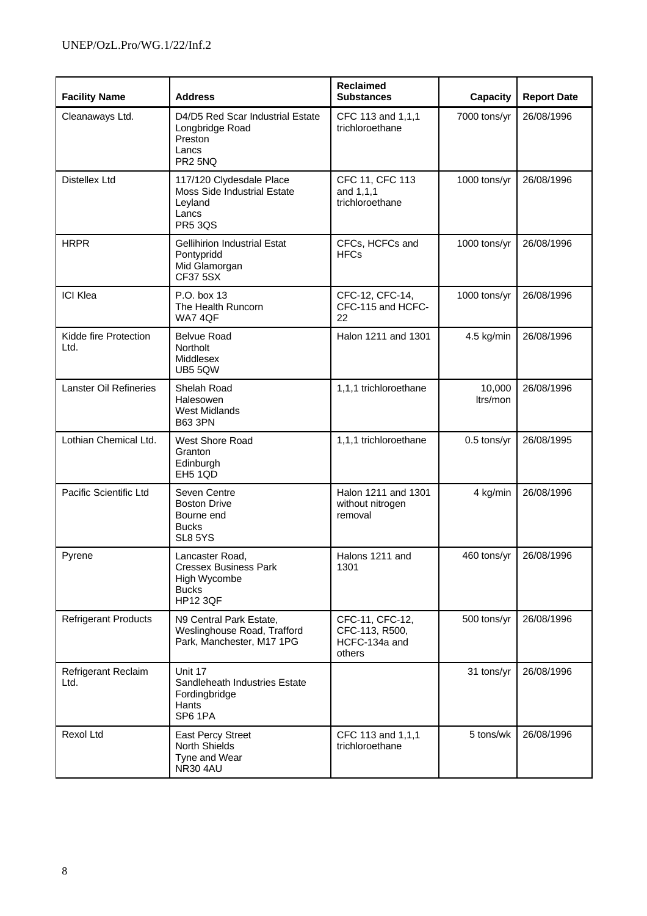| <b>Facility Name</b>          | <b>Address</b>                                                                                       | <b>Reclaimed</b><br><b>Substances</b>                        | Capacity           | <b>Report Date</b> |
|-------------------------------|------------------------------------------------------------------------------------------------------|--------------------------------------------------------------|--------------------|--------------------|
| Cleanaways Ltd.               | D4/D5 Red Scar Industrial Estate<br>Longbridge Road<br>Preston<br>Lancs<br>PR <sub>2</sub> 5NQ       | CFC 113 and 1,1,1<br>trichloroethane                         | 7000 tons/yr       | 26/08/1996         |
| Distellex Ltd                 | 117/120 Clydesdale Place<br><b>Moss Side Industrial Estate</b><br>Leyland<br>Lancs<br><b>PR5 3QS</b> | CFC 11, CFC 113<br>and 1,1,1<br>trichloroethane              | 1000 tons/yr       | 26/08/1996         |
| <b>HRPR</b>                   | <b>Gellihirion Industrial Estat</b><br>Pontypridd<br>Mid Glamorgan<br><b>CF37 5SX</b>                | CFCs, HCFCs and<br><b>HFCs</b>                               | 1000 tons/yr       | 26/08/1996         |
| <b>ICI Klea</b>               | P.O. box 13<br>The Health Runcorn<br><b>WA7 4QF</b>                                                  | CFC-12, CFC-14,<br>CFC-115 and HCFC-<br>22                   | 1000 tons/yr       | 26/08/1996         |
| Kidde fire Protection<br>Ltd. | Belvue Road<br><b>Northolt</b><br>Middlesex<br>UB5 5QW                                               | Halon 1211 and 1301                                          | 4.5 kg/min         | 26/08/1996         |
| Lanster Oil Refineries        | Shelah Road<br>Halesowen<br><b>West Midlands</b><br><b>B63 3PN</b>                                   | 1,1,1 trichloroethane                                        | 10,000<br>ltrs/mon | 26/08/1996         |
| Lothian Chemical Ltd.         | <b>West Shore Road</b><br>Granton<br>Edinburgh<br><b>EH5 1QD</b>                                     | 1,1,1 trichloroethane                                        | 0.5 tons/yr        | 26/08/1995         |
| Pacific Scientific Ltd        | Seven Centre<br><b>Boston Drive</b><br>Bourne end<br><b>Bucks</b><br>SL8 5YS                         | Halon 1211 and 1301<br>without nitrogen<br>removal           | 4 kg/min           | 26/08/1996         |
| Pyrene                        | Lancaster Road,<br><b>Cressex Business Park</b><br>High Wycombe<br><b>Bucks</b><br><b>HP12 3QF</b>   | Halons 1211 and<br>1301                                      | 460 tons/yr        | 26/08/1996         |
| <b>Refrigerant Products</b>   | N9 Central Park Estate,<br>Weslinghouse Road, Trafford<br>Park, Manchester, M17 1PG                  | CFC-11, CFC-12,<br>CFC-113, R500,<br>HCFC-134a and<br>others | 500 tons/yr        | 26/08/1996         |
| Refrigerant Reclaim<br>Ltd.   | Unit 17<br>Sandleheath Industries Estate<br>Fordingbridge<br>Hants<br>SP6 1PA                        |                                                              | 31 tons/yr         | 26/08/1996         |
| Rexol Ltd                     | <b>East Percy Street</b><br><b>North Shields</b><br>Tyne and Wear<br><b>NR30 4AU</b>                 | CFC 113 and 1,1,1<br>trichloroethane                         | 5 tons/wk          | 26/08/1996         |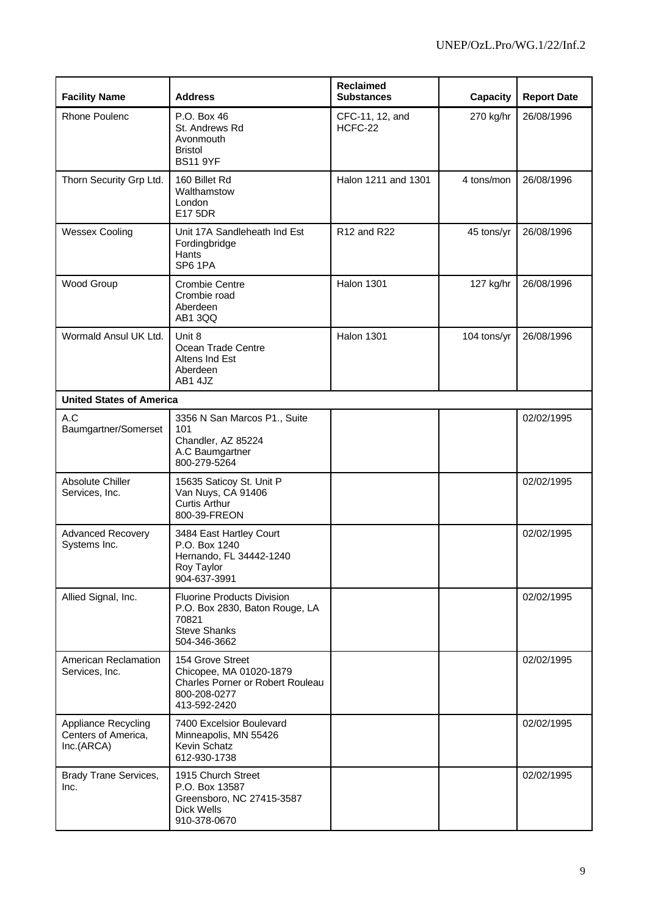| <b>Facility Name</b>                                     | <b>Address</b>                                                                                                      | <b>Reclaimed</b><br><b>Substances</b> | <b>Capacity</b> | <b>Report Date</b> |
|----------------------------------------------------------|---------------------------------------------------------------------------------------------------------------------|---------------------------------------|-----------------|--------------------|
| <b>Rhone Poulenc</b>                                     | P.O. Box 46<br>St. Andrews Rd<br>Avonmouth<br><b>Bristol</b><br><b>BS11 9YF</b>                                     | CFC-11, 12, and<br>HCFC-22            | 270 kg/hr       | 26/08/1996         |
| Thorn Security Grp Ltd.                                  | 160 Billet Rd<br>Walthamstow<br>London<br>E17 5DR                                                                   | Halon 1211 and 1301                   | 4 tons/mon      | 26/08/1996         |
| <b>Wessex Cooling</b>                                    | Unit 17A Sandleheath Ind Est<br>Fordingbridge<br>Hants<br>SP6 1PA                                                   | R12 and R22                           | 45 tons/yr      | 26/08/1996         |
| Wood Group                                               | <b>Crombie Centre</b><br>Crombie road<br>Aberdeen<br>AB1 3QQ                                                        | <b>Halon 1301</b>                     | 127 kg/hr       | 26/08/1996         |
| Wormald Ansul UK Ltd.                                    | Unit 8<br>Ocean Trade Centre<br>Altens Ind Est<br>Aberdeen<br>AB1 4JZ                                               | <b>Halon 1301</b>                     | 104 tons/yr     | 26/08/1996         |
| <b>United States of America</b>                          |                                                                                                                     |                                       |                 |                    |
| A.C<br>Baumgartner/Somerset                              | 3356 N San Marcos P1., Suite<br>101<br>Chandler, AZ 85224<br>A.C Baumgartner<br>800-279-5264                        |                                       |                 | 02/02/1995         |
| <b>Absolute Chiller</b><br>Services, Inc.                | 15635 Saticoy St. Unit P<br>Van Nuys, CA 91406<br><b>Curtis Arthur</b><br>800-39-FREON                              |                                       |                 | 02/02/1995         |
| <b>Advanced Recovery</b><br>Systems Inc.                 | 3484 East Hartley Court<br>P.O. Box 1240<br>Hernando, FL 34442-1240<br>Roy Taylor<br>904-637-3991                   |                                       |                 | 02/02/1995         |
| Allied Signal, Inc.                                      | <b>Fluorine Products Division</b><br>P.O. Box 2830, Baton Rouge, LA<br>70821<br><b>Steve Shanks</b><br>504-346-3662 |                                       |                 | 02/02/1995         |
| American Reclamation<br>Services, Inc.                   | 154 Grove Street<br>Chicopee, MA 01020-1879<br>Charles Porner or Robert Rouleau<br>800-208-0277<br>413-592-2420     |                                       |                 | 02/02/1995         |
| Appliance Recycling<br>Centers of America,<br>Inc.(ARCA) | 7400 Excelsior Boulevard<br>Minneapolis, MN 55426<br>Kevin Schatz<br>612-930-1738                                   |                                       |                 | 02/02/1995         |
| Brady Trane Services,<br>Inc.                            | 1915 Church Street<br>P.O. Box 13587<br>Greensboro, NC 27415-3587<br><b>Dick Wells</b><br>910-378-0670              |                                       |                 | 02/02/1995         |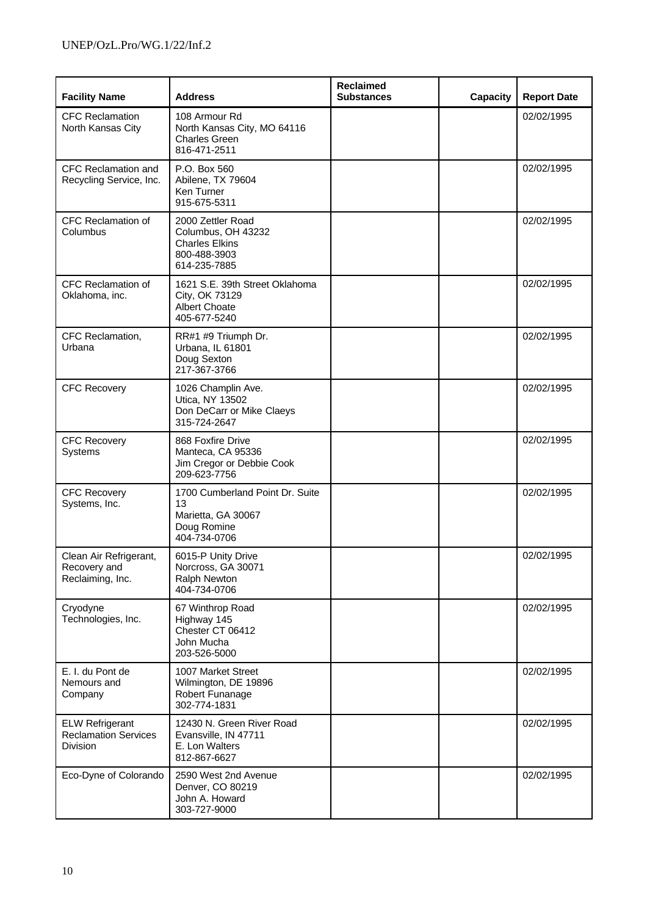| <b>Facility Name</b>                                              | <b>Address</b>                                                                                   | <b>Reclaimed</b><br><b>Substances</b> | Capacity | <b>Report Date</b> |
|-------------------------------------------------------------------|--------------------------------------------------------------------------------------------------|---------------------------------------|----------|--------------------|
| <b>CFC Reclamation</b><br>North Kansas City                       | 108 Armour Rd<br>North Kansas City, MO 64116<br><b>Charles Green</b><br>816-471-2511             |                                       |          | 02/02/1995         |
| <b>CFC Reclamation and</b><br>Recycling Service, Inc.             | P.O. Box 560<br>Abilene, TX 79604<br>Ken Turner<br>915-675-5311                                  |                                       |          | 02/02/1995         |
| <b>CFC Reclamation of</b><br>Columbus                             | 2000 Zettler Road<br>Columbus, OH 43232<br><b>Charles Elkins</b><br>800-488-3903<br>614-235-7885 |                                       |          | 02/02/1995         |
| CFC Reclamation of<br>Oklahoma, inc.                              | 1621 S.E. 39th Street Oklahoma<br>City, OK 73129<br><b>Albert Choate</b><br>405-677-5240         |                                       |          | 02/02/1995         |
| CFC Reclamation,<br>Urbana                                        | RR#1 #9 Triumph Dr.<br>Urbana, IL 61801<br>Doug Sexton<br>217-367-3766                           |                                       |          | 02/02/1995         |
| <b>CFC Recovery</b>                                               | 1026 Champlin Ave.<br>Utica, NY 13502<br>Don DeCarr or Mike Claeys<br>315-724-2647               |                                       |          | 02/02/1995         |
| <b>CFC Recovery</b><br>Systems                                    | 868 Foxfire Drive<br>Manteca, CA 95336<br>Jim Cregor or Debbie Cook<br>209-623-7756              |                                       |          | 02/02/1995         |
| <b>CFC Recovery</b><br>Systems, Inc.                              | 1700 Cumberland Point Dr. Suite<br>13<br>Marietta, GA 30067<br>Doug Romine<br>404-734-0706       |                                       |          | 02/02/1995         |
| Clean Air Refrigerant,<br>Recovery and<br>Reclaiming, Inc.        | 6015-P Unity Drive<br>Norcross, GA 30071<br>Ralph Newton<br>404-734-0706                         |                                       |          | 02/02/1995         |
| Cryodyne<br>Technologies, Inc.                                    | 67 Winthrop Road<br>Highway 145<br>Chester CT 06412<br>John Mucha<br>203-526-5000                |                                       |          | 02/02/1995         |
| E. I. du Pont de<br>Nemours and<br>Company                        | 1007 Market Street<br>Wilmington, DE 19896<br>Robert Funanage<br>302-774-1831                    |                                       |          | 02/02/1995         |
| <b>ELW Refrigerant</b><br><b>Reclamation Services</b><br>Division | 12430 N. Green River Road<br>Evansville, IN 47711<br>E. Lon Walters<br>812-867-6627              |                                       |          | 02/02/1995         |
| Eco-Dyne of Colorando                                             | 2590 West 2nd Avenue<br>Denver, CO 80219<br>John A. Howard<br>303-727-9000                       |                                       |          | 02/02/1995         |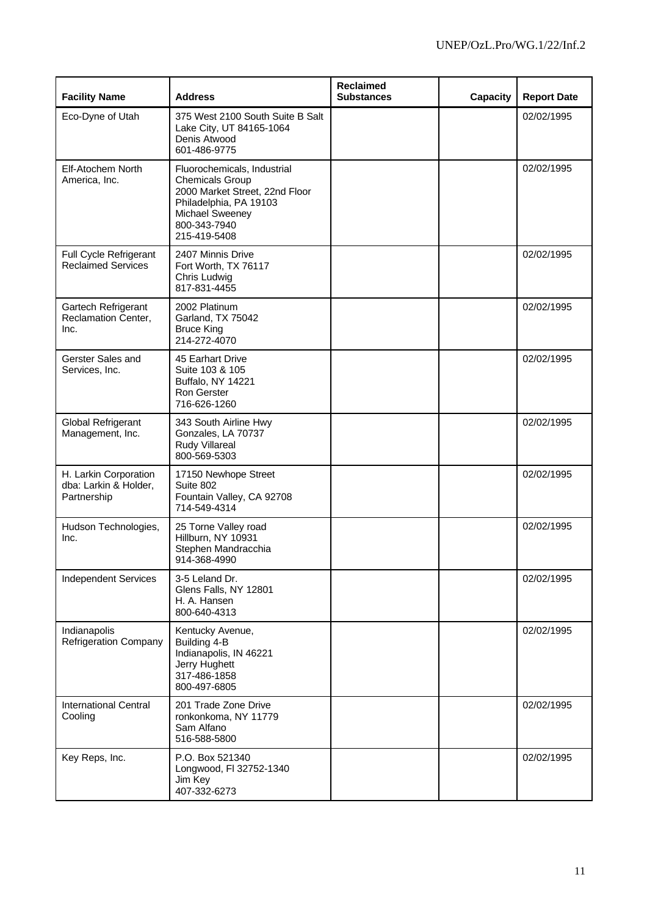| <b>Facility Name</b>                                          | <b>Address</b>                                                                                                                                                       | <b>Reclaimed</b><br><b>Substances</b> | Capacity | <b>Report Date</b> |
|---------------------------------------------------------------|----------------------------------------------------------------------------------------------------------------------------------------------------------------------|---------------------------------------|----------|--------------------|
| Eco-Dyne of Utah                                              | 375 West 2100 South Suite B Salt<br>Lake City, UT 84165-1064<br>Denis Atwood<br>601-486-9775                                                                         |                                       |          | 02/02/1995         |
| <b>Elf-Atochem North</b><br>America, Inc.                     | Fluorochemicals, Industrial<br><b>Chemicals Group</b><br>2000 Market Street, 22nd Floor<br>Philadelphia, PA 19103<br>Michael Sweeney<br>800-343-7940<br>215-419-5408 |                                       |          | 02/02/1995         |
| Full Cycle Refrigerant<br><b>Reclaimed Services</b>           | 2407 Minnis Drive<br>Fort Worth, TX 76117<br>Chris Ludwig<br>817-831-4455                                                                                            |                                       |          | 02/02/1995         |
| Gartech Refrigerant<br><b>Reclamation Center,</b><br>Inc.     | 2002 Platinum<br>Garland, TX 75042<br><b>Bruce King</b><br>214-272-4070                                                                                              |                                       |          | 02/02/1995         |
| Gerster Sales and<br>Services, Inc.                           | 45 Earhart Drive<br>Suite 103 & 105<br>Buffalo, NY 14221<br><b>Ron Gerster</b><br>716-626-1260                                                                       |                                       |          | 02/02/1995         |
| Global Refrigerant<br>Management, Inc.                        | 343 South Airline Hwy<br>Gonzales, LA 70737<br>Rudy Villareal<br>800-569-5303                                                                                        |                                       |          | 02/02/1995         |
| H. Larkin Corporation<br>dba: Larkin & Holder,<br>Partnership | 17150 Newhope Street<br>Suite 802<br>Fountain Valley, CA 92708<br>714-549-4314                                                                                       |                                       |          | 02/02/1995         |
| Hudson Technologies,<br>Inc.                                  | 25 Torne Valley road<br>Hillburn, NY 10931<br>Stephen Mandracchia<br>914-368-4990                                                                                    |                                       |          | 02/02/1995         |
| <b>Independent Services</b>                                   | 3-5 Leland Dr.<br>Glens Falls, NY 12801<br>H. A. Hansen<br>800-640-4313                                                                                              |                                       |          | 02/02/1995         |
| Indianapolis<br><b>Refrigeration Company</b>                  | Kentucky Avenue,<br>Building 4-B<br>Indianapolis, IN 46221<br>Jerry Hughett<br>317-486-1858<br>800-497-6805                                                          |                                       |          | 02/02/1995         |
| <b>International Central</b><br>Cooling                       | 201 Trade Zone Drive<br>ronkonkoma, NY 11779<br>Sam Alfano<br>516-588-5800                                                                                           |                                       |          | 02/02/1995         |
| Key Reps, Inc.                                                | P.O. Box 521340<br>Longwood, FI 32752-1340<br>Jim Key<br>407-332-6273                                                                                                |                                       |          | 02/02/1995         |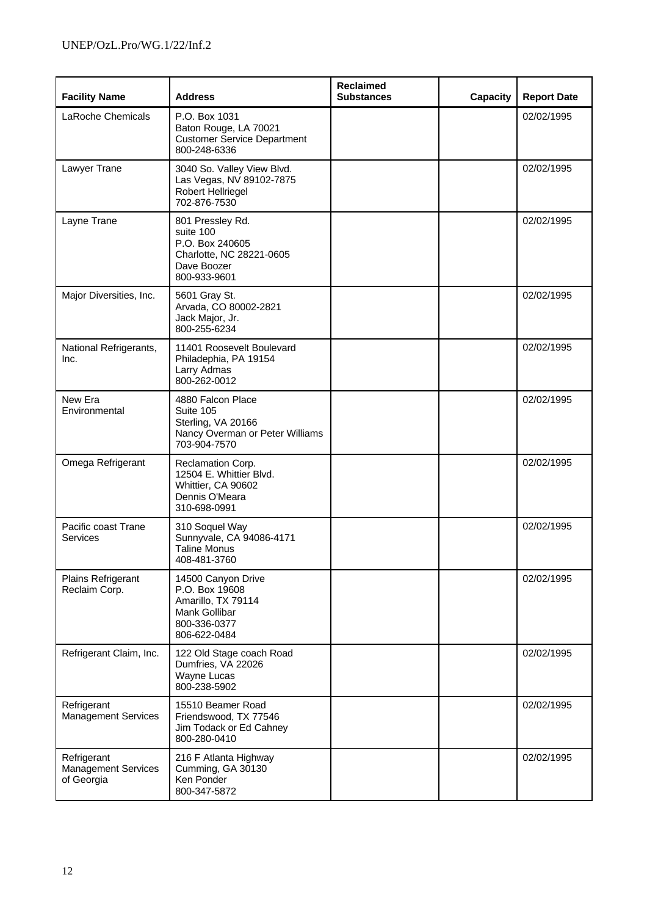| <b>Facility Name</b>                                    | <b>Address</b>                                                                                              | Reclaimed<br><b>Substances</b> | Capacity | <b>Report Date</b> |
|---------------------------------------------------------|-------------------------------------------------------------------------------------------------------------|--------------------------------|----------|--------------------|
| LaRoche Chemicals                                       | P.O. Box 1031<br>Baton Rouge, LA 70021<br><b>Customer Service Department</b><br>800-248-6336                |                                |          | 02/02/1995         |
| Lawyer Trane                                            | 3040 So. Valley View Blvd.<br>Las Vegas, NV 89102-7875<br>Robert Hellriegel<br>702-876-7530                 |                                |          | 02/02/1995         |
| Layne Trane                                             | 801 Pressley Rd.<br>suite 100<br>P.O. Box 240605<br>Charlotte, NC 28221-0605<br>Dave Boozer<br>800-933-9601 |                                |          | 02/02/1995         |
| Major Diversities, Inc.                                 | 5601 Gray St.<br>Arvada, CO 80002-2821<br>Jack Major, Jr.<br>800-255-6234                                   |                                |          | 02/02/1995         |
| National Refrigerants,<br>Inc.                          | 11401 Roosevelt Boulevard<br>Philadephia, PA 19154<br>Larry Admas<br>800-262-0012                           |                                |          | 02/02/1995         |
| New Era<br>Environmental                                | 4880 Falcon Place<br>Suite 105<br>Sterling, VA 20166<br>Nancy Overman or Peter Williams<br>703-904-7570     |                                |          | 02/02/1995         |
| Omega Refrigerant                                       | Reclamation Corp.<br>12504 E. Whittier Blvd.<br>Whittier, CA 90602<br>Dennis O'Meara<br>310-698-0991        |                                |          | 02/02/1995         |
| Pacific coast Trane<br>Services                         | 310 Soquel Way<br>Sunnyvale, CA 94086-4171<br><b>Taline Monus</b><br>408-481-3760                           |                                |          | 02/02/1995         |
| Plains Refrigerant<br>Reclaim Corp.                     | 14500 Canyon Drive<br>P.O. Box 19608<br>Amarillo, TX 79114<br>Mank Gollibar<br>800-336-0377<br>806-622-0484 |                                |          | 02/02/1995         |
| Refrigerant Claim, Inc.                                 | 122 Old Stage coach Road<br>Dumfries, VA 22026<br>Wayne Lucas<br>800-238-5902                               |                                |          | 02/02/1995         |
| Refrigerant<br><b>Management Services</b>               | 15510 Beamer Road<br>Friendswood, TX 77546<br>Jim Todack or Ed Cahney<br>800-280-0410                       |                                |          | 02/02/1995         |
| Refrigerant<br><b>Management Services</b><br>of Georgia | 216 F Atlanta Highway<br>Cumming, GA 30130<br>Ken Ponder<br>800-347-5872                                    |                                |          | 02/02/1995         |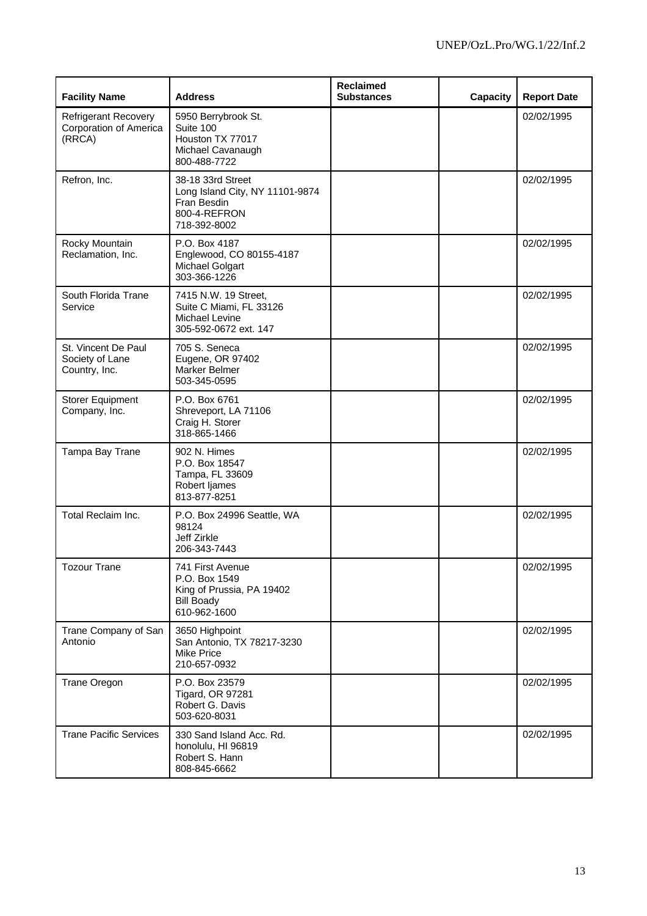| <b>Facility Name</b>                                            | <b>Address</b>                                                                                      | <b>Reclaimed</b><br><b>Substances</b> | <b>Capacity</b> | <b>Report Date</b> |
|-----------------------------------------------------------------|-----------------------------------------------------------------------------------------------------|---------------------------------------|-----------------|--------------------|
| <b>Refrigerant Recovery</b><br>Corporation of America<br>(RRCA) | 5950 Berrybrook St.<br>Suite 100<br>Houston TX 77017<br>Michael Cavanaugh<br>800-488-7722           |                                       |                 | 02/02/1995         |
| Refron, Inc.                                                    | 38-18 33rd Street<br>Long Island City, NY 11101-9874<br>Fran Besdin<br>800-4-REFRON<br>718-392-8002 |                                       |                 | 02/02/1995         |
| Rocky Mountain<br>Reclamation, Inc.                             | P.O. Box 4187<br>Englewood, CO 80155-4187<br>Michael Golgart<br>303-366-1226                        |                                       |                 | 02/02/1995         |
| South Florida Trane<br>Service                                  | 7415 N.W. 19 Street,<br>Suite C Miami, FL 33126<br>Michael Levine<br>305-592-0672 ext. 147          |                                       |                 | 02/02/1995         |
| St. Vincent De Paul<br>Society of Lane<br>Country, Inc.         | 705 S. Seneca<br>Eugene, OR 97402<br>Marker Belmer<br>503-345-0595                                  |                                       |                 | 02/02/1995         |
| <b>Storer Equipment</b><br>Company, Inc.                        | P.O. Box 6761<br>Shreveport, LA 71106<br>Craig H. Storer<br>318-865-1466                            |                                       |                 | 02/02/1995         |
| Tampa Bay Trane                                                 | 902 N. Himes<br>P.O. Box 18547<br>Tampa, FL 33609<br>Robert ljames<br>813-877-8251                  |                                       |                 | 02/02/1995         |
| Total Reclaim Inc.                                              | P.O. Box 24996 Seattle, WA<br>98124<br>Jeff Zirkle<br>206-343-7443                                  |                                       |                 | 02/02/1995         |
| <b>Tozour Trane</b>                                             | 741 First Avenue<br>P.O. Box 1549<br>King of Prussia, PA 19402<br><b>Bill Boady</b><br>610-962-1600 |                                       |                 | 02/02/1995         |
| Trane Company of San<br>Antonio                                 | 3650 Highpoint<br>San Antonio, TX 78217-3230<br><b>Mike Price</b><br>210-657-0932                   |                                       |                 | 02/02/1995         |
| Trane Oregon                                                    | P.O. Box 23579<br><b>Tigard, OR 97281</b><br>Robert G. Davis<br>503-620-8031                        |                                       |                 | 02/02/1995         |
| <b>Trane Pacific Services</b>                                   | 330 Sand Island Acc. Rd.<br>honolulu, HI 96819<br>Robert S. Hann<br>808-845-6662                    |                                       |                 | 02/02/1995         |